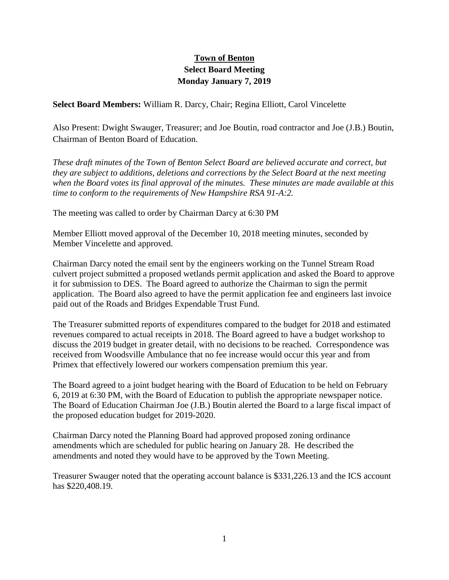## **Town of Benton Select Board Meeting Monday January 7, 2019**

**Select Board Members:** William R. Darcy, Chair; Regina Elliott, Carol Vincelette

Also Present: Dwight Swauger, Treasurer; and Joe Boutin, road contractor and Joe (J.B.) Boutin, Chairman of Benton Board of Education.

*These draft minutes of the Town of Benton Select Board are believed accurate and correct, but they are subject to additions, deletions and corrections by the Select Board at the next meeting when the Board votes its final approval of the minutes. These minutes are made available at this time to conform to the requirements of New Hampshire RSA 91-A:2.*

The meeting was called to order by Chairman Darcy at 6:30 PM

Member Elliott moved approval of the December 10, 2018 meeting minutes, seconded by Member Vincelette and approved.

Chairman Darcy noted the email sent by the engineers working on the Tunnel Stream Road culvert project submitted a proposed wetlands permit application and asked the Board to approve it for submission to DES. The Board agreed to authorize the Chairman to sign the permit application. The Board also agreed to have the permit application fee and engineers last invoice paid out of the Roads and Bridges Expendable Trust Fund.

The Treasurer submitted reports of expenditures compared to the budget for 2018 and estimated revenues compared to actual receipts in 2018. The Board agreed to have a budget workshop to discuss the 2019 budget in greater detail, with no decisions to be reached. Correspondence was received from Woodsville Ambulance that no fee increase would occur this year and from Primex that effectively lowered our workers compensation premium this year.

The Board agreed to a joint budget hearing with the Board of Education to be held on February 6, 2019 at 6:30 PM, with the Board of Education to publish the appropriate newspaper notice. The Board of Education Chairman Joe (J.B.) Boutin alerted the Board to a large fiscal impact of the proposed education budget for 2019-2020.

Chairman Darcy noted the Planning Board had approved proposed zoning ordinance amendments which are scheduled for public hearing on January 28. He described the amendments and noted they would have to be approved by the Town Meeting.

Treasurer Swauger noted that the operating account balance is \$331,226.13 and the ICS account has \$220,408.19.